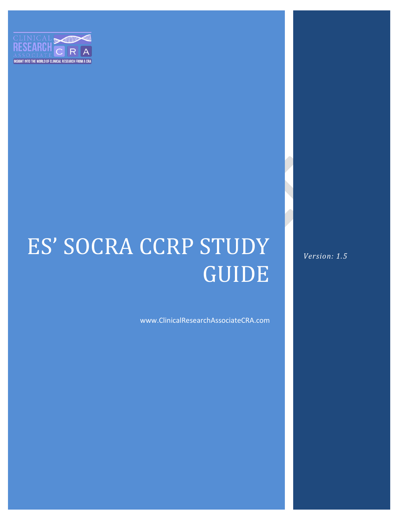

# ES' SOCRA CCRP STUDY GUIDE

www.ClinicalResearchAssociateCRA.com

*Version: 1.5*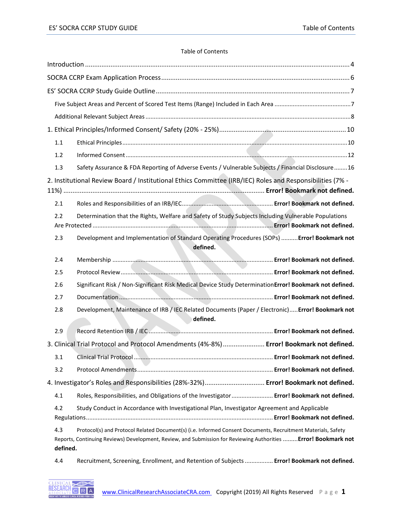# Table of Contents

| 1.1             |                                                                                                                                                                                                                                 |
|-----------------|---------------------------------------------------------------------------------------------------------------------------------------------------------------------------------------------------------------------------------|
| 1.2             |                                                                                                                                                                                                                                 |
| 1.3             | Safety Assurance & FDA Reporting of Adverse Events / Vulnerable Subjects / Financial Disclosure16                                                                                                                               |
|                 | 2. Institutional Review Board / Institutional Ethics Committee (IRB/IEC) Roles and Responsibilities (7% -                                                                                                                       |
| 2.1             |                                                                                                                                                                                                                                 |
| 2.2             | Determination that the Rights, Welfare and Safety of Study Subjects Including Vulnerable Populations                                                                                                                            |
| 2.3             | Development and Implementation of Standard Operating Procedures (SOPs)  Error! Bookmark not<br>defined.                                                                                                                         |
| 2.4             |                                                                                                                                                                                                                                 |
| 2.5             |                                                                                                                                                                                                                                 |
| 2.6             | Significant Risk / Non-Significant Risk Medical Device Study DeterminationError! Bookmark not defined.                                                                                                                          |
| 2.7             |                                                                                                                                                                                                                                 |
| 2.8             | Development, Maintenance of IRB / IEC Related Documents (Paper / Electronic) Error! Bookmark not<br>defined.                                                                                                                    |
| 2.9             |                                                                                                                                                                                                                                 |
|                 | 3. Clinical Trial Protocol and Protocol Amendments (4%-8%)  Error! Bookmark not defined.                                                                                                                                        |
| 3.1             |                                                                                                                                                                                                                                 |
| 3.2             |                                                                                                                                                                                                                                 |
|                 | 4. Investigator's Roles and Responsibilities (28%-32%) Error! Bookmark not defined.                                                                                                                                             |
| 4.1             | Roles, Responsibilities, and Obligations of the Investigator Error! Bookmark not defined.                                                                                                                                       |
| 4.2             | Study Conduct in Accordance with Investigational Plan, Investigator Agreement and Applicable                                                                                                                                    |
| 4.3<br>defined. | Protocol(s) and Protocol Related Document(s) (i.e. Informed Consent Documents, Recruitment Materials, Safety<br>Reports, Continuing Reviews) Development, Review, and Submission for Reviewing Authorities  Error! Bookmark not |
| 4.4             | Recruitment, Screening, Enrollment, and Retention of Subjects  Error! Bookmark not defined.                                                                                                                                     |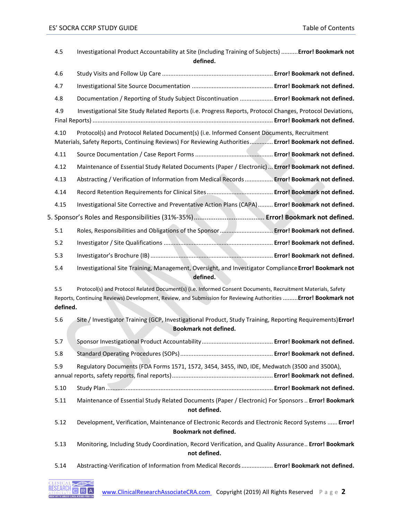| 4.5             | Investigational Product Accountability at Site (Including Training of Subjects)  Error! Bookmark not<br>defined.                                                                                                                |  |
|-----------------|---------------------------------------------------------------------------------------------------------------------------------------------------------------------------------------------------------------------------------|--|
| 4.6             |                                                                                                                                                                                                                                 |  |
| 4.7             |                                                                                                                                                                                                                                 |  |
| 4.8             | Documentation / Reporting of Study Subject Discontinuation  Error! Bookmark not defined.                                                                                                                                        |  |
| 4.9             | Investigational Site Study Related Reports (i.e. Progress Reports, Protocol Changes, Protocol Deviations,                                                                                                                       |  |
| 4.10            | Protocol(s) and Protocol Related Document(s) (i.e. Informed Consent Documents, Recruitment<br>Materials, Safety Reports, Continuing Reviews) For Reviewing Authorities Error! Bookmark not defined.                             |  |
| 4.11            |                                                                                                                                                                                                                                 |  |
| 4.12            | Maintenance of Essential Study Related Documents (Paper / Electronic)  Error! Bookmark not defined.                                                                                                                             |  |
| 4.13            | Abstracting / Verification of Information from Medical Records  Error! Bookmark not defined.                                                                                                                                    |  |
| 4.14            |                                                                                                                                                                                                                                 |  |
| 4.15            | Investigational Site Corrective and Preventative Action Plans (CAPA)  Error! Bookmark not defined.                                                                                                                              |  |
|                 |                                                                                                                                                                                                                                 |  |
| 5.1             | Roles, Responsibilities and Obligations of the Sponsor  Error! Bookmark not defined.                                                                                                                                            |  |
| 5.2             |                                                                                                                                                                                                                                 |  |
| 5.3             |                                                                                                                                                                                                                                 |  |
| 5.4             | Investigational Site Training, Management, Oversight, and Investigator Compliance Error! Bookmark not<br>defined.                                                                                                               |  |
| 5.5<br>defined. | Protocol(s) and Protocol Related Document(s) (i.e. Informed Consent Documents, Recruitment Materials, Safety<br>Reports, Continuing Reviews) Development, Review, and Submission for Reviewing Authorities  Error! Bookmark not |  |
| 5.6             | Site / Investigator Training (GCP, Investigational Product, Study Training, Reporting Requirements) Error!<br><b>Bookmark not defined.</b>                                                                                      |  |
| 5.7             |                                                                                                                                                                                                                                 |  |
| 5.8             |                                                                                                                                                                                                                                 |  |
| 5.9             | Regulatory Documents (FDA Forms 1571, 1572, 3454, 3455, IND, IDE, Medwatch (3500 and 3500A),                                                                                                                                    |  |
| 5.10            |                                                                                                                                                                                                                                 |  |
| 5.11            | Maintenance of Essential Study Related Documents (Paper / Electronic) For Sponsors  Error! Bookmark<br>not defined.                                                                                                             |  |
| 5.12            | Development, Verification, Maintenance of Electronic Records and Electronic Record Systems  Error!<br>Bookmark not defined.                                                                                                     |  |
| 5.13            | Monitoring, Including Study Coordination, Record Verification, and Quality Assurance Error! Bookmark<br>not defined.                                                                                                            |  |
| 5.14            | Abstracting-Verification of Information from Medical Records  Error! Bookmark not defined.                                                                                                                                      |  |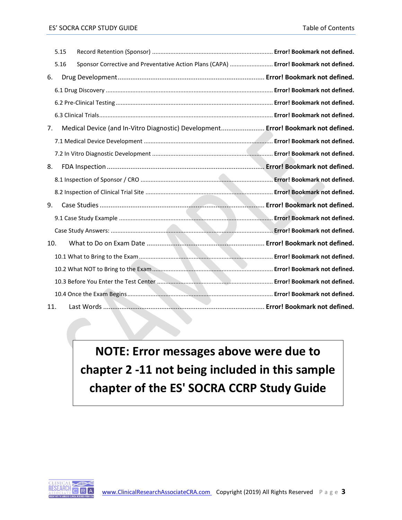| 5.15 |                                                                                       |  |
|------|---------------------------------------------------------------------------------------|--|
| 5.16 | Sponsor Corrective and Preventative Action Plans (CAPA)  Error! Bookmark not defined. |  |
| 6.   |                                                                                       |  |
|      |                                                                                       |  |
|      |                                                                                       |  |
|      |                                                                                       |  |
| 7.   | Medical Device (and In-Vitro Diagnostic) Development Error! Bookmark not defined.     |  |
|      |                                                                                       |  |
|      |                                                                                       |  |
| 8.   |                                                                                       |  |
|      |                                                                                       |  |
|      |                                                                                       |  |
| 9.   |                                                                                       |  |
|      |                                                                                       |  |
|      |                                                                                       |  |
| 10.  |                                                                                       |  |
|      |                                                                                       |  |
|      |                                                                                       |  |
|      |                                                                                       |  |
|      |                                                                                       |  |
| 11.  |                                                                                       |  |

**NOTE: Error messages above were due to chapter 2 -11 not being included in this sample chapter of the ES' SOCRA CCRP Study Guide**

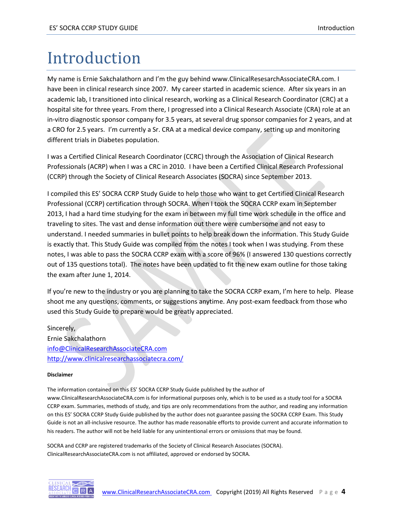# <span id="page-4-0"></span>Introduction

My name is Ernie Sakchalathorn and I'm the guy behind www.ClinicalResesarchAssociateCRA.com. I have been in clinical research since 2007. My career started in academic science. After six years in an academic lab, I transitioned into clinical research, working as a Clinical Research Coordinator (CRC) at a hospital site for three years. From there, I progressed into a Clinical Research Associate (CRA) role at an in-vitro diagnostic sponsor company for 3.5 years, at several drug sponsor companies for 2 years, and at a CRO for 2.5 years. I'm currently a Sr. CRA at a medical device company, setting up and monitoring different trials in Diabetes population.

I was a Certified Clinical Research Coordinator (CCRC) through the Association of Clinical Research Professionals (ACRP) when I was a CRC in 2010. I have been a Certified Clinical Research Professional (CCRP) through the Society of Clinical Research Associates (SOCRA) since September 2013.

I compiled this ES' SOCRA CCRP Study Guide to help those who want to get Certified Clinical Research Professional (CCRP) certification through SOCRA. When I took the SOCRA CCRP exam in September 2013, I had a hard time studying for the exam in between my full time work schedule in the office and traveling to sites. The vast and dense information out there were cumbersome and not easy to understand. I needed summaries in bullet points to help break down the information. This Study Guide is exactly that. This Study Guide was compiled from the notes I took when I was studying. From these notes, I was able to pass the SOCRA CCRP exam with a score of 96% (I answered 130 questions correctly out of 135 questions total). The notes have been updated to fit the new exam outline for those taking the exam after June 1, 2014.

If you're new to the industry or you are planning to take the SOCRA CCRP exam, I'm here to help. Please shoot me any questions, comments, or suggestions anytime. Any post-exam feedback from those who used this Study Guide to prepare would be greatly appreciated.

Sincerely, Ernie Sakchalathorn [info@ClinicalResearchAssociateCRA.com](mailto:info@ClinicalResearchAssociateCRA.com) <http://www.clinicalresearchassociatecra.com/>

#### **Disclaimer**

The information contained on this ES' SOCRA CCRP Study Guide published by the author of www.ClinicalResearchAssociateCRA.com is for informational purposes only, which is to be used as a study tool for a SOCRA CCRP exam. Summaries, methods of study, and tips are only recommendations from the author, and reading any information on this ES' SOCRA CCRP Study Guide published by the author does not guarantee passing the SOCRA CCRP Exam. This Study Guide is not an all-inclusive resource. The author has made reasonable efforts to provide current and accurate information to his readers. The author will not be held liable for any unintentional errors or omissions that may be found.

SOCRA and CCRP are registered trademarks of the Society of Clinical Research Associates (SOCRA). ClinicalResearchAssociateCRA.com is not affiliated, approved or endorsed by SOCRA.

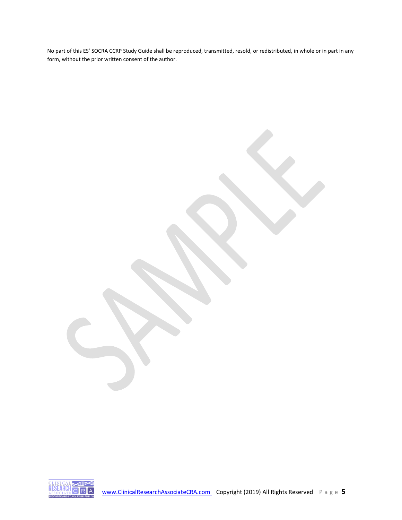No part of this ES' SOCRA CCRP Study Guide shall be reproduced, transmitted, resold, or redistributed, in whole or in part in any form, without the prior written consent of the author.

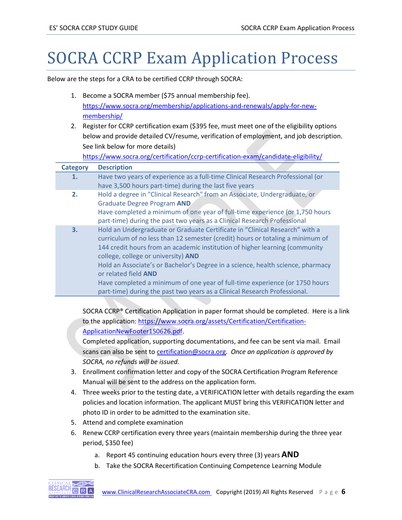# <span id="page-6-0"></span>SOCRA CCRP Exam Application Process

Below are the steps for a CRA to be certified CCRP through SOCRA:

- 1. Become a SOCRA member (\$75 annual membership fee). [https://www.socra.org/membership/applications-and-renewals/apply-for-new](https://www.socra.org/membership/applications-and-renewals/apply-for-new-membership/)[membership/](https://www.socra.org/membership/applications-and-renewals/apply-for-new-membership/)
- 2. Register for CCRP certification exam (\$395 fee, must meet one of the eligibility options below and provide detailed CV/resume, verification of employment, and job description. See link below for more details)

<https://www.socra.org/certification/ccrp-certification-exam/candidate-eligibility/>

| <b>Category</b> | <b>Description</b>                                                              |
|-----------------|---------------------------------------------------------------------------------|
| 1.              | Have two years of experience as a full-time Clinical Research Professional (or  |
|                 | have 3,500 hours part-time) during the last five years                          |
| 2.              | Hold a degree in "Clinical Research" from an Associate, Undergraduate, or       |
|                 | <b>Graduate Degree Program AND</b>                                              |
|                 | Have completed a minimum of one year of full-time experience (or 1,750 hours    |
|                 | part-time) during the past two years as a Clinical Research Professional        |
| 3.              | Hold an Undergraduate or Graduate Certificate in "Clinical Research" with a     |
|                 | curriculum of no less than 12 semester (credit) hours or totaling a minimum of  |
|                 | 144 credit hours from an academic institution of higher learning (community     |
|                 | college, college or university) AND                                             |
|                 | Hold an Associate's or Bachelor's Degree in a science, health science, pharmacy |
|                 | or related field AND                                                            |
|                 | Have completed a minimum of one year of full-time experience (or 1750 hours     |
|                 | part-time) during the past two years as a Clinical Research Professional.       |

SOCRA CCRP® Certification Application in paper format should be completed. Here is a link to the application[: https://www.socra.org/assets/Certification/Certification-](https://www.socra.org/assets/Certification/Certification-ApplicationNewFooter150626.pdf)[ApplicationNewFooter150626.pdf.](https://www.socra.org/assets/Certification/Certification-ApplicationNewFooter150626.pdf)

Completed application, supporting documentations, and fee can be sent via mail. Email scans can also be sent to [certification@socra.org.](mailto:certification@socra.org) *Once an application is approved by SOCRA, no refunds will be issued.* 

- 3. Enrollment confirmation letter and copy of the SOCRA Certification Program Reference Manual will be sent to the address on the application form.
- 4. Three weeks prior to the testing date, a VERIFICATION letter with details regarding the exam policies and location information. The applicant MUST bring this VERIFICATION letter and photo ID in order to be admitted to the examination site.
- 5. Attend and complete examination
- 6. Renew CCRP certification every three years (maintain membership during the three year period, \$350 fee)
	- a. Report 45 continuing education hours every three (3) years **AND**
	- b. Take the SOCRA Recertification Continuing Competence Learning Module

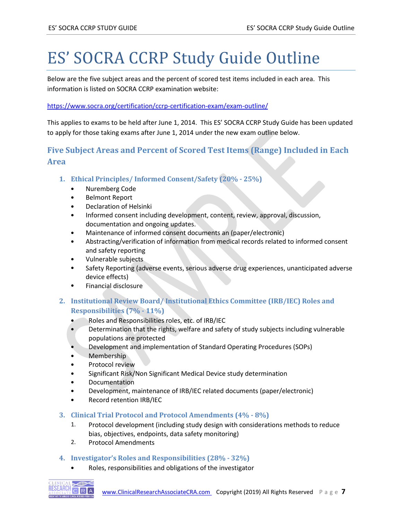# <span id="page-7-0"></span>ES' SOCRA CCRP Study Guide Outline

Below are the five subject areas and the percent of scored test items included in each area. This information is listed on SOCRA CCRP examination website:

#### <https://www.socra.org/certification/ccrp-certification-exam/exam-outline/>

This applies to exams to be held after June 1, 2014. This ES' SOCRA CCRP Study Guide has been updated to apply for those taking exams after June 1, 2014 under the new exam outline below.

# <span id="page-7-1"></span>**Five Subject Areas and Percent of Scored Test Items (Range) Included in Each Area**

- **1. Ethical Principles/ Informed Consent/Safety (20% - 25%)**
	- Nuremberg Code
	- Belmont Report
	- Declaration of Helsinki
	- Informed consent including development, content, review, approval, discussion, documentation and ongoing updates.
	- Maintenance of informed consent documents an (paper/electronic)
	- Abstracting/verification of information from medical records related to informed consent and safety reporting
	- Vulnerable subjects
	- Safety Reporting (adverse events, serious adverse drug experiences, unanticipated adverse device effects)
	- Financial disclosure

# **2. Institutional Review Board/ Institutional Ethics Committee (IRB/IEC) Roles and Responsibilities (7% - 11%)**

- Roles and Responsibilities roles, etc. of IRB/IEC
- Determination that the rights, welfare and safety of study subjects including vulnerable populations are protected
- Development and implementation of Standard Operating Procedures (SOPs)
- Membership
- Protocol review
- Significant Risk/Non Significant Medical Device study determination
- Documentation
- Development, maintenance of IRB/IEC related documents (paper/electronic)
- Record retention IRB/IEC

#### **3. Clinical Trial Protocol and Protocol Amendments (4% - 8%)**

- 1. Protocol development (including study design with considerations methods to reduce bias, objectives, endpoints, data safety monitoring)
- 2. Protocol Amendments

# **4. Investigator's Roles and Responsibilities (28% - 32%)**

• Roles, responsibilities and obligations of the investigator

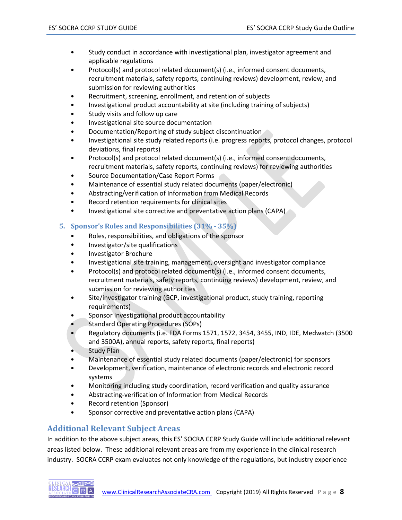- Study conduct in accordance with investigational plan, investigator agreement and applicable regulations
- Protocol(s) and protocol related document(s) (i.e., informed consent documents, recruitment materials, safety reports, continuing reviews) development, review, and submission for reviewing authorities
- Recruitment, screening, enrollment, and retention of subjects
- Investigational product accountability at site (including training of subjects)
- Study visits and follow up care
- Investigational site source documentation
- Documentation/Reporting of study subject discontinuation
- Investigational site study related reports (i.e. progress reports, protocol changes, protocol deviations, final reports)
- Protocol(s) and protocol related document(s) (i.e., informed consent documents, recruitment materials, safety reports, continuing reviews) for reviewing authorities
- Source Documentation/Case Report Forms
- Maintenance of essential study related documents (paper/electronic)
- Abstracting/verification of Information from Medical Records
- Record retention requirements for clinical sites
- Investigational site corrective and preventative action plans (CAPA)
- **5. Sponsor's Roles and Responsibilities (31% - 35%)**
	- Roles, responsibilities, and obligations of the sponsor
	- Investigator/site qualifications
	- Investigator Brochure
	- Investigational site training, management, oversight and investigator compliance
	- Protocol(s) and protocol related document(s) (i.e., informed consent documents, recruitment materials, safety reports, continuing reviews) development, review, and submission for reviewing authorities
	- Site/investigator training (GCP, investigational product, study training, reporting requirements)
	- Sponsor Investigational product accountability
	- Standard Operating Procedures (SOPs)
	- Regulatory documents (i.e. FDA Forms 1571, 1572, 3454, 3455, IND, IDE, Medwatch (3500 and 3500A), annual reports, safety reports, final reports)
	- Study Plan
	- Maintenance of essential study related documents (paper/electronic) for sponsors
	- Development, verification, maintenance of electronic records and electronic record systems
	- Monitoring including study coordination, record verification and quality assurance
	- Abstracting-verification of Information from Medical Records
	- Record retention (Sponsor)
	- Sponsor corrective and preventative action plans (CAPA)

# <span id="page-8-0"></span>**Additional Relevant Subject Areas**

In addition to the above subject areas, this ES' SOCRA CCRP Study Guide will include additional relevant areas listed below. These additional relevant areas are from my experience in the clinical research industry. SOCRA CCRP exam evaluates not only knowledge of the regulations, but industry experience

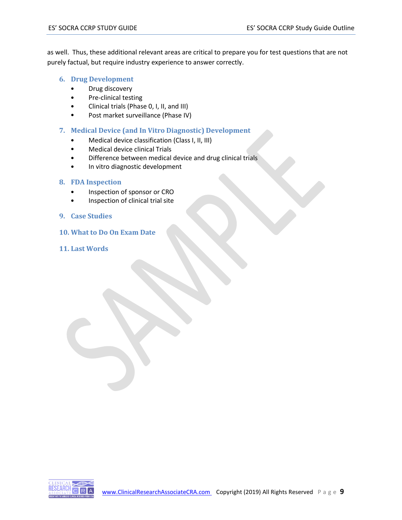as well. Thus, these additional relevant areas are critical to prepare you for test questions that are not purely factual, but require industry experience to answer correctly.

- **6. Drug Development** 
	- Drug discovery
	- Pre-clinical testing
	- Clinical trials (Phase 0, I, II, and III)
	- Post market surveillance (Phase IV)
- **7. Medical Device (and In Vitro Diagnostic) Development** 
	- Medical device classification (Class I, II, III)
	- Medical device clinical Trials
	- Difference between medical device and drug clinical trials
	- In vitro diagnostic development

#### **8. FDA Inspection**

- Inspection of sponsor or CRO
- Inspection of clinical trial site
- **9. Case Studies**
- **10. What to Do On Exam Date**
- **11. Last Words**

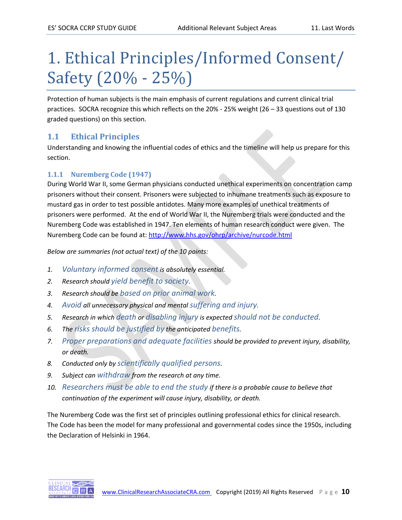# <span id="page-10-0"></span>1. Ethical Principles/Informed Consent/ Safety (20% - 25%)

Protection of human subjects is the main emphasis of current regulations and current clinical trial practices. SOCRA recognize this which reflects on the 20% - 25% weight (26 – 33 questions out of 130 graded questions) on this section.

# <span id="page-10-1"></span>**1.1 Ethical Principles**

Understanding and knowing the influential codes of ethics and the timeline will help us prepare for this section.

# **1.1.1 Nuremberg Code (1947)**

During World War II, some German physicians conducted unethical experiments on concentration camp prisoners without their consent. Prisoners were subjected to inhumane treatments such as exposure to mustard gas in order to test possible antidotes. Many more examples of unethical treatments of prisoners were performed. At the end of World War II, the Nuremberg trials were conducted and the Nuremberg Code was established in 1947. Ten elements of human research conduct were given. The Nuremberg Code can be found at:<http://www.hhs.gov/ohrp/archive/nurcode.html>

*Below are summaries (not actual text) of the 10 points:* 

- *1. Voluntary informed consent is absolutely essential.*
- *2. Research should yield benefit to society.*
- *3. Research should be based on prior animal work.*
- *4. Avoid all unnecessary physical and mental suffering and injury.*
- *5. Research in which death or disabling injury is expected should not be conducted.*
- *6. The risks should be justified by the anticipated benefits.*
- *7. Proper preparations and adequate facilities should be provided to prevent injury, disability, or death.*
- *8. Conducted only by scientifically qualified persons.*
- *9. Subject can withdraw from the research at any time.*
- *10. Researchers must be able to end the study if there is a probable cause to believe that continuation of the experiment will cause injury, disability, or death.*

The Nuremberg Code was the first set of principles outlining professional ethics for clinical research. The Code has been the model for many professional and governmental codes since the 1950s, including the Declaration of Helsinki in 1964.

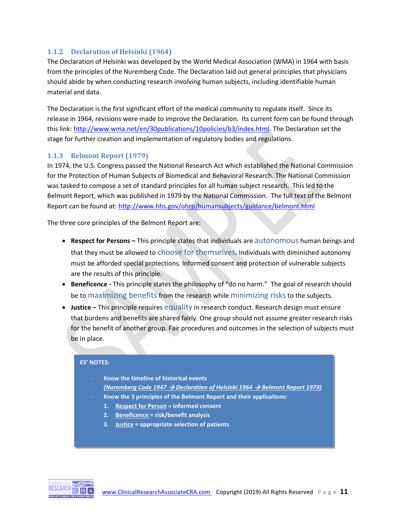# **1.1.2 Declaration of Helsinki (1964)**

The Declaration of Helsinki was developed by the World Medical Association (WMA) in 1964 with basis from the principles of the Nuremberg Code. The Declaration laid out general principles that physicians should abide by when conducting research involving human subjects, including identifiable human material and data.

The Declaration is the first significant effort of the medical community to regulate itself. Since its release in 1964, revisions were made to improve the Declaration. Its current form can be found through this link: [http://www.wma.net/en/30publications/10policies/b3/index.html.](http://www.wma.net/en/30publications/10policies/b3/index.html) The Declaration set the stage for further creation and implementation of regulatory bodies and regulations.

# **1.1.3 Belmont Report (1979)**

In 1974, the U.S. Congress passed the National Research Act which established the National Commission for the Protection of Human Subjects of Biomedical and Behavioral Research. The National Commission was tasked to compose a set of standard principles for all human subject research. This led to the Belmont Report, which was published in 1979 by the National Commission. The full text of the Belmont Report can be found at:<http://www.hhs.gov/ohrp/humansubjects/guidance/belmont.html>

The three core principles of the Belmont Report are:

- **Respect for Persons –** This principle states that individuals are autonomous human beings and that they must be allowed to choose for themselves. Individuals with diminished autonomy must be afforded special protections. Informed consent and protection of vulnerable subjects are the results of this principle.
- **Beneficence -** This principle states the philosophy of "do no harm." The goal of research should be to maximizing benefits from the research while minimizing risks to the subjects.
- **Justice** This principle requires equality in research conduct. Research design must ensure that burdens and benefits are shared fairly. One group should not assume greater research risks for the benefit of another group. Fair procedures and outcomes in the selection of subjects must be in place.

#### **ES' NOTES:**

| Know the timeline of historical events                                                                                          |
|---------------------------------------------------------------------------------------------------------------------------------|
| <b>(Nuremberg Code 1947 <math>\rightarrow</math> Declaration of Helsinki 1964 <math>\rightarrow</math> Belmont Report 1979)</b> |
| the contract of the contract of the contract of the contract of the contract of the contract of the contract of                 |

- **Know the 3 principles of the Belmont Report and their applications:**
- **1. Respect for Person = informed consent**
- **2. Beneficence = risk/benefit analysis**
- **3. Justice = appropriate selection of patients**

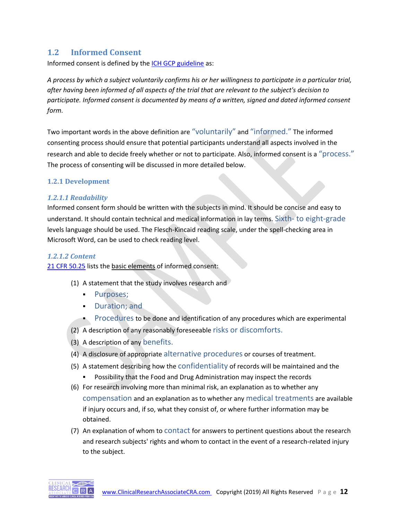# <span id="page-12-0"></span>**1.2 Informed Consent**

Informed consent is defined by the **ICH GCP** guideline as:

*A process by which a subject voluntarily confirms his or her willingness to participate in a particular trial, after having been informed of all aspects of the trial that are relevant to the subject's decision to participate. Informed consent is documented by means of a written, signed and dated informed consent form.* 

Two important words in the above definition are "voluntarily" and "informed." The informed consenting process should ensure that potential participants understand all aspects involved in the research and able to decide freely whether or not to participate. Also, informed consent is a "process." The process of consenting will be discussed in more detailed below.

#### **1.2.1 Development**

#### *1.2.1.1 Readability*

Informed consent form should be written with the subjects in mind. It should be concise and easy to understand. It should contain technical and medical information in lay terms. Sixth- to eight-grade levels language should be used. The Flesch-Kincaid reading scale, under the spell-checking area in Microsoft Word, can be used to check reading level.

#### *1.2.1.2 Content*

[21 CFR 50.25](http://www.ecfr.gov/cgi-bin/text-idx?SID=658aa0c4d7dba87a15da970171adb230&mc=true&node=se21.1.50_125&rgn=div8) lists the basic elements of informed consent:

- (1) A statement that the study involves research and
	- Purposes;
	- Duration; and
	- Procedures to be done and identification of any procedures which are experimental
- (2) A description of any reasonably foreseeable risks or discomforts.
- (3) A description of any benefits.
- (4) A disclosure of appropriate alternative procedures or courses of treatment.
- (5) A statement describing how the confidentiality of records will be maintained and the ▪ Possibility that the Food and Drug Administration may inspect the records
- (6) For research involving more than minimal risk, an explanation as to whether any compensation and an explanation as to whether any medical treatments are available if injury occurs and, if so, what they consist of, or where further information may be obtained.
- (7) An explanation of whom to contact for answers to pertinent questions about the research and research subjects' rights and whom to contact in the event of a research-related injury to the subject.

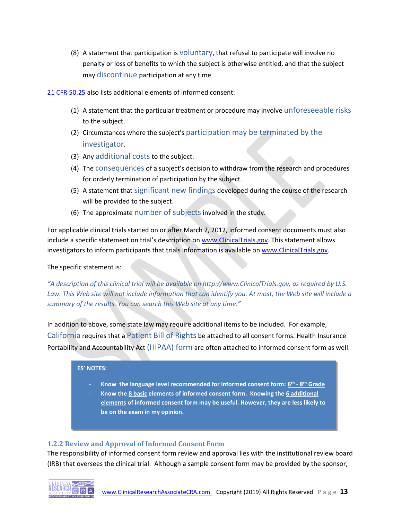(8) A statement that participation is voluntary, that refusal to participate will involve no penalty or loss of benefits to which the subject is otherwise entitled, and that the subject may discontinue participation at any time.

#### [21 CFR 50.25](http://www.ecfr.gov/cgi-bin/text-idx?SID=658aa0c4d7dba87a15da970171adb230&mc=true&node=se21.1.50_125&rgn=div8) also lists additional elements of informed consent:

- (1) A statement that the particular treatment or procedure may involve unforeseeable risks to the subject.
- (2) Circumstances where the subject's participation may be terminated by the investigator.
- (3) Any additional costs to the subject.
- (4) The consequences of a subject's decision to withdraw from the research and procedures for orderly termination of participation by the subject.
- (5) A statement that significant new findings developed during the course of the research will be provided to the subject.
- (6) The approximate number of subjects involved in the study.

For applicable clinical trials started on or after March 7, 2012, informed consent documents must also include a specific statement on trial's description on [www.ClinicalTrials.gov.](http://www.clinicaltrials.gov/) This statement allows investigators to inform participants that trials information is available o[n www.ClinicalTrials.gov.](http://www.clinicaltrials.gov/)

#### The specific statement is:

*"A description of this clinical trial will be available on http://www.ClinicalTrials.gov, as required by U.S. Law. This Web site will not include information that can identify you. At most, the Web site will include a summary of the results. You can search this Web site at any time."*

In addition to above, some state law may require additional items to be included. For example, California requires that a Patient Bill of Rights be attached to all consent forms. Health Insurance Portability and Accountability Act (HIPAA) form are often attached to informed consent form as well.

#### **ES' NOTES:**

- **Know the language level recommended for informed consent form: 6 th - 8 th Grade**
- **Know the 8 basic elements of informed consent form. Knowing the 6 additional elements of informed consent form may be useful. However, they are less likely to be on the exam in my opinion.**

# **1.2.2 Review and Approval of Informed Consent Form**

The responsibility of informed consent form review and approval lies with the institutional review board (IRB) that oversees the clinical trial. Although a sample consent form may be provided by the sponsor,

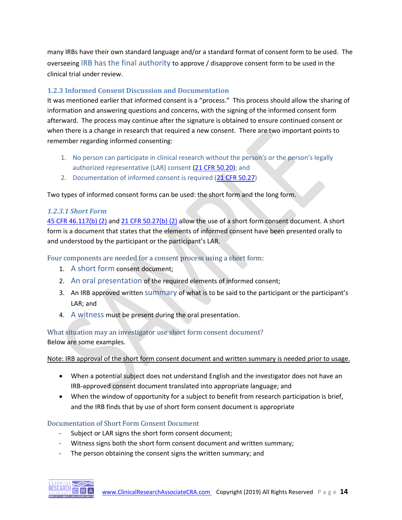many IRBs have their own standard language and/or a standard format of consent form to be used. The overseeing IRB has the final authority to approve / disapprove consent form to be used in the clinical trial under review.

# **1.2.3 Informed Consent Discussion and Documentation**

It was mentioned earlier that informed consent is a "process." This process should allow the sharing of information and answering questions and concerns, with the signing of the informed consent form afterward. The process may continue after the signature is obtained to ensure continued consent or when there is a change in research that required a new consent. There are two important points to remember regarding informed consenting:

- 1. No person can participate in clinical research without the person's or the person's legally authorized representative (LAR) consent [\(21 CFR 50.20\)](http://www.ecfr.gov/cgi-bin/retrieveECFR?gp=&SID=658aa0c4d7dba87a15da970171adb230&mc=true&n=sp21.1.50.b&r=SUBPART&ty=HTML#se21.1.50_120); and
- 2. Documentation of informed consent is required [\(21 CFR 50.27\)](http://www.ecfr.gov/cgi-bin/retrieveECFR?gp=&SID=658aa0c4d7dba87a15da970171adb230&mc=true&n=sp21.1.50.b&r=SUBPART&ty=HTML#se21.1.50_127)

Two types of informed consent forms can be used: the short form and the long form.

# *1.2.3.1 Short Form*

[45 CFR 46.117\(b\)](http://www.hhs.gov/ohrp/humansubjects/guidance/45cfr46.html#46.117) (2) an[d 21 CFR 50.27\(b\)](http://www.ecfr.gov/cgi-bin/retrieveECFR?gp=&SID=658aa0c4d7dba87a15da970171adb230&mc=true&n=pt21.1.50&r=PART&ty=HTML#se21.1.50_127) (2) allow the use of a short form consent document. A short form is a document that states that the elements of informed consent have been presented orally to and understood by the participant or the participant's LAR.

Four components are needed for a consent process using a short form:

- 1. A short form consent document;
- 2. An oral presentation of the required elements of informed consent;
- 3. An IRB approved written summary of what is to be said to the participant or the participant's LAR; and
- 4. A witness must be present during the oral presentation.

# What situation may an investigator use short form consent document?

Below are some examples.

Note: IRB approval of the short form consent document and written summary is needed prior to usage.

- When a potential subject does not understand English and the investigator does not have an IRB-approved consent document translated into appropriate language; and
- When the window of opportunity for a subject to benefit from research participation is brief, and the IRB finds that by use of short form consent document is appropriate

# Documentation of Short Form Consent Document

- Subject or LAR signs the short form consent document;
- Witness signs both the short form consent document and written summary;
- The person obtaining the consent signs the written summary; and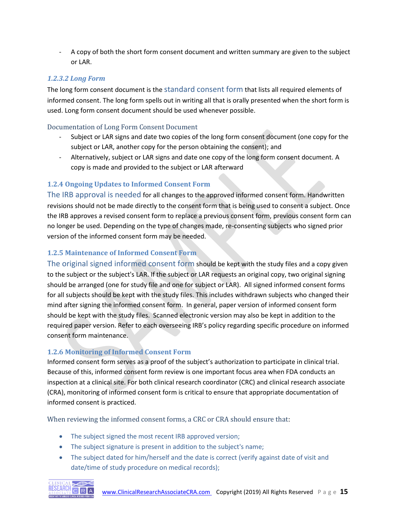- A copy of both the short form consent document and written summary are given to the subject or LAR.

# *1.2.3.2 Long Form*

The long form consent document is the standard consent form that lists all required elements of informed consent. The long form spells out in writing all that is orally presented when the short form is used. Long form consent document should be used whenever possible.

# Documentation of Long Form Consent Document

- Subject or LAR signs and date two copies of the long form consent document (one copy for the subject or LAR, another copy for the person obtaining the consent); and
- Alternatively, subject or LAR signs and date one copy of the long form consent document. A copy is made and provided to the subject or LAR afterward

# **1.2.4 Ongoing Updates to Informed Consent Form**

The IRB approval is needed for all changes to the approved informed consent form. Handwritten revisions should not be made directly to the consent form that is being used to consent a subject. Once the IRB approves a revised consent form to replace a previous consent form, previous consent form can no longer be used. Depending on the type of changes made, re-consenting subjects who signed prior version of the informed consent form may be needed.

# **1.2.5 Maintenance of Informed Consent Form**

The original signed informed consent form should be kept with the study files and a copy given to the subject or the subject's LAR. If the subject or LAR requests an original copy, two original signing should be arranged (one for study file and one for subject or LAR). All signed informed consent forms for all subjects should be kept with the study files. This includes withdrawn subjects who changed their mind after signing the informed consent form. In general, paper version of informed consent form should be kept with the study files. Scanned electronic version may also be kept in addition to the required paper version. Refer to each overseeing IRB's policy regarding specific procedure on informed consent form maintenance.

# <span id="page-15-0"></span>**1.2.6 Monitoring of Informed Consent Form**

Informed consent form serves as a proof of the subject's authorization to participate in clinical trial. Because of this, informed consent form review is one important focus area when FDA conducts an inspection at a clinical site. For both clinical research coordinator (CRC) and clinical research associate (CRA), monitoring of informed consent form is critical to ensure that appropriate documentation of informed consent is practiced.

When reviewing the informed consent forms, a CRC or CRA should ensure that:

- The subject signed the most recent IRB approved version;
- The subject signature is present in addition to the subject's name;
- The subject dated for him/herself and the date is correct (verify against date of visit and date/time of study procedure on medical records);

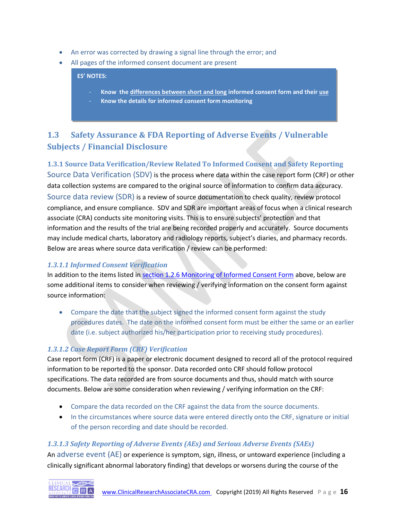- An error was corrected by drawing a signal line through the error; and
- All pages of the informed consent document are present

**ES' NOTES:**

- **Know the differences between short and long informed consent form and their use**
- **Know the details for informed consent form monitoring**

# <span id="page-16-0"></span>**1.3 Safety Assurance & FDA Reporting of Adverse Events / Vulnerable Subjects / Financial Disclosure**

**1.3.1 Source Data Verification/Review Related To Informed Consent and Safety Reporting** Source Data Verification (SDV) is the process where data within the case report form (CRF) or other data collection systems are compared to the original source of information to confirm data accuracy. Source data review (SDR) is a review of source documentation to check quality, review protocol compliance, and ensure compliance. SDV and SDR are important areas of focus when a clinical research associate (CRA) conducts site monitoring visits. This is to ensure subjects' protection and that information and the results of the trial are being recorded properly and accurately. Source documents may include medical charts, laboratory and radiology reports, subject's diaries, and pharmacy records. Below are areas where source data verification / review can be performed:

# *1.3.1.1 Informed Consent Verification*

In addition to the items listed in [section 1.2.6 Monitoring of Informed Consent Form](#page-15-0) above, below are some additional items to consider when reviewing / verifying information on the consent form against source information:

• Compare the date that the subject signed the informed consent form against the study procedures dates. The date on the informed consent form must be either the same or an earlier date (i.e. subject authorized his/her participation prior to receiving study procedures).

# *1.3.1.2 Case Report Form (CRF) Verification*

Case report form (CRF) is a paper or electronic document designed to record all of the protocol required information to be reported to the sponsor. Data recorded onto CRF should follow protocol specifications. The data recorded are from source documents and thus, should match with source documents. Below are some consideration when reviewing / verifying information on the CRF:

- Compare the data recorded on the CRF against the data from the source documents.
- In the circumstances where source data were entered directly onto the CRF, signature or initial of the person recording and date should be recorded.

# *1.3.1.3 Safety Reporting of Adverse Events (AEs) and Serious Adverse Events (SAEs)*

An adverse event (AE) or experience is symptom, sign, illness, or untoward experience (including a clinically significant abnormal laboratory finding) that develops or worsens during the course of the

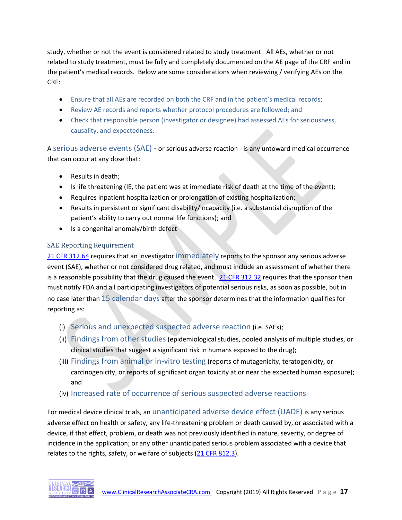study, whether or not the event is considered related to study treatment. All AEs, whether or not related to study treatment, must be fully and completely documented on the AE page of the CRF and in the patient's medical records. Below are some considerations when reviewing / verifying AEs on the CRF:

- Ensure that all AEs are recorded on both the CRF and in the patient's medical records;
- Review AE records and reports whether protocol procedures are followed; and
- Check that responsible person (investigator or designee) had assessed AEs for seriousness, causality, and expectedness.

A serious adverse events (SAE) - or serious adverse reaction - is any untoward medical occurrence that can occur at any dose that:

- Results in death;
- Is life threatening (IE, the patient was at immediate risk of death at the time of the event);
- Requires inpatient hospitalization or prolongation of existing hospitalization;
- Results in persistent or significant disability/incapacity (i.e. a substantial disruption of the patient's ability to carry out normal life functions); and
- Is a congenital anomaly/birth defect

# SAE Reporting Requirement

[21 CFR 312.64](http://www.ecfr.gov/cgi-bin/text-idx?SID=658aa0c4d7dba87a15da970171adb230&mc=true&node=pt21.5.312&rgn=div5#se21.5.312_164) requires that an investigator immediately reports to the sponsor any serious adverse event (SAE), whether or not considered drug related, and must include an assessment of whether there is a reasonable possibility that the drug caused the event. [21 CFR 312.32](http://www.ecfr.gov/cgi-bin/text-idx?SID=658aa0c4d7dba87a15da970171adb230&mc=true&node=pt21.5.312&rgn=div5#se21.5.312_132) requires that the sponsor then must notify FDA and all participating investigators of potential serious risks, as soon as possible, but in no case later than 15 calendar days after the sponsor determines that the information qualifies for reporting as:

- (i) Serious and unexpected suspected adverse reaction (i.e. SAEs);
- (ii) Findings from other studies (epidemiological studies, pooled analysis of multiple studies, or clinical studies that suggest a significant risk in humans exposed to the drug);
- (iii) Findings from animal or in-vitro testing (reports of mutagenicity, teratogenicity, or carcinogenicity, or reports of significant organ toxicity at or near the expected human exposure); and
- (iv) Increased rate of occurrence of serious suspected adverse reactions

For medical device clinical trials, an unanticipated adverse device effect (UADE) is any serious adverse effect on health or safety, any life-threatening problem or death caused by, or associated with a device, if that effect, problem, or death was not previously identified in nature, severity, or degree of incidence in the application; or any other unanticipated serious problem associated with a device that relates to the rights, safety, or welfare of subjects [\(21 CFR 812.3\)](http://www.ecfr.gov/cgi-bin/text-idx?SID=658aa0c4d7dba87a15da970171adb230&mc=true&node=pt21.8.812&rgn=div5#se21.8.812_13).

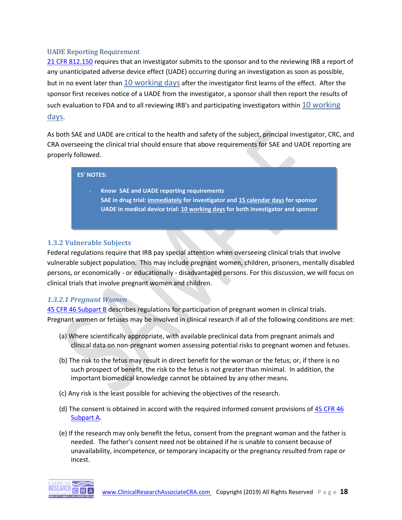#### UADE Reporting Requirement

21 CFR [812.150](http://www.ecfr.gov/cgi-bin/text-idx?SID=658aa0c4d7dba87a15da970171adb230&mc=true&node=pt21.8.812&rgn=div5#se21.8.812_1150) requires that an investigator submits to the sponsor and to the reviewing IRB a report of any unanticipated adverse device effect (UADE) occurring during an investigation as soon as possible, but in no event later than 10 working days after the investigator first learns of the effect. After the sponsor first receives notice of a UADE from the investigator, a sponsor shall then report the results of such evaluation to FDA and to all reviewing IRB's and participating investigators within 10 working days.

As both SAE and UADE are critical to the health and safety of the subject, principal investigator, CRC, and CRA overseeing the clinical trial should ensure that above requirements for SAE and UADE reporting are properly followed.

#### **ES' NOTES:**

- **Know SAE and UADE reporting requirements**
	- **SAE in drug trial: immediately for investigator and 15 calendar days for sponsor UADE in medical device trial: 10 working days for both investigator and sponsor**

#### **1.3.2 Vulnerable Subjects**

Federal regulations require that IRB pay special attention when overseeing clinical trials that involve vulnerable subject population. This may include pregnant women, children, prisoners, mentally disabled persons, or economically - or educationally - disadvantaged persons. For this discussion, we will focus on clinical trials that involve pregnant women and children.

# *1.3.2.1 Pregnant Women*

[45 CFR 46 Subpart B](http://www.hhs.gov/ohrp/humansubjects/guidance/45cfr46.html#subpartb) describes regulations for participation of pregnant women in clinical trials. Pregnant women or fetuses may be involved in clinical research if all of the following conditions are met:

- (a) Where scientifically appropriate, with available preclinical data from pregnant animals and clinical data on non-pregnant women assessing potential risks to pregnant women and fetuses.
- (b) The risk to the fetus may result in direct benefit for the woman or the fetus; or, if there is no such prospect of benefit, the risk to the fetus is not greater than minimal. In addition, the important biomedical knowledge cannot be obtained by any other means.
- (c) Any risk is the least possible for achieving the objectives of the research.
- (d) The consent is obtained in accord with the required informed consent provisions o[f 45 CFR 46](http://www.hhs.gov/ohrp/humansubjects/guidance/45cfr46.html#subparta)  [Subpart](http://www.hhs.gov/ohrp/humansubjects/guidance/45cfr46.html#subparta) A.
- (e) If the research may only benefit the fetus, consent from the pregnant woman and the father is needed. The father's consent need not be obtained if he is unable to consent because of unavailability, incompetence, or temporary incapacity or the pregnancy resulted from rape or incest.

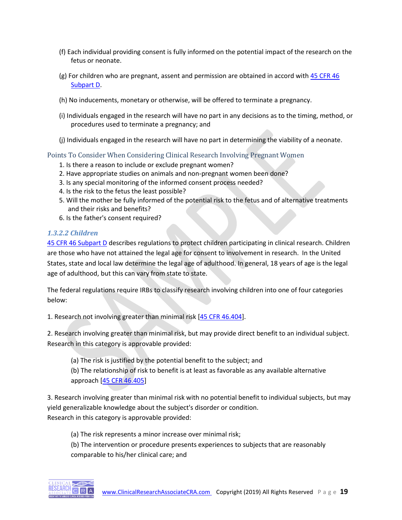- (f) Each individual providing consent is fully informed on the potential impact of the research on the fetus or neonate.
- (g) For children who are pregnant, assent and permission are obtained in accord with  $45$  CFR  $46$ [Subpart D.](http://www.hhs.gov/ohrp/humansubjects/guidance/45cfr46.html#subpartd)
- (h) No inducements, monetary or otherwise, will be offered to terminate a pregnancy.
- (i) Individuals engaged in the research will have no part in any decisions as to the timing, method, or procedures used to terminate a pregnancy; and
- (j) Individuals engaged in the research will have no part in determining the viability of a neonate.

# Points To Consider When Considering Clinical Research Involving Pregnant Women

- 1. Is there a reason to include or exclude pregnant women?
- 2. Have appropriate studies on animals and non-pregnant women been done?
- 3. Is any special monitoring of the informed consent process needed?
- 4. Is the risk to the fetus the least possible?
- 5. Will the mother be fully informed of the potential risk to the fetus and of alternative treatments and their risks and benefits?
- 6. Is the father's consent required?

#### *1.3.2.2 Children*

[45 CFR 46 Subpart D](http://www.hhs.gov/ohrp/humansubjects/guidance/45cfr46.html#subpartd) describes regulations to protect children participating in clinical research. Children are those who have not attained the legal age for consent to involvement in research. In the United States, state and local law determine the legal age of adulthood. In general, 18 years of age is the legal age of adulthood, but this can vary from state to state.

The federal regulations require IRBs to classify research involving children into one of four categories below:

1. Research not involving greater than minimal risk [\[45 CFR 46.404\]](http://www.hhs.gov/ohrp/humansubjects/guidance/45cfr46.html#46.404).

2. Research involving greater than minimal risk, but may provide direct benefit to an individual subject. Research in this category is approvable provided:

(a) The risk is justified by the potential benefit to the subject; and

(b) The relationship of risk to benefit is at least as favorable as any available alternative approach [\[45 CFR 46.405\]](http://www.hhs.gov/ohrp/humansubjects/guidance/45cfr46.html#46.405)

3. Research involving greater than minimal risk with no potential benefit to individual subjects, but may yield generalizable knowledge about the subject's disorder or condition. Research in this category is approvable provided:

(a) The risk represents a minor increase over minimal risk; (b) The intervention or procedure presents experiences to subjects that are reasonably

comparable to his/her clinical care; and

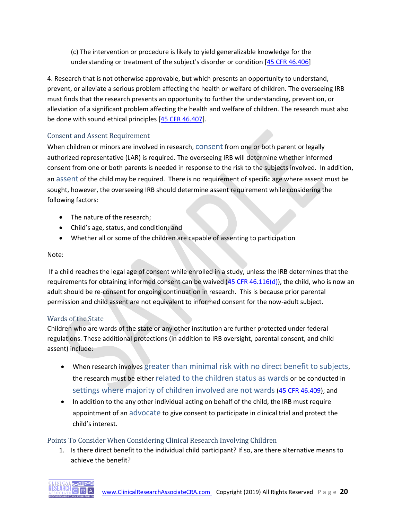(c) The intervention or procedure is likely to yield generalizable knowledge for the understanding or treatment of the subject's disorder or condition [\[45 CFR 46.406\]](http://www.hhs.gov/ohrp/humansubjects/guidance/45cfr46.html#46.406)

4. Research that is not otherwise approvable, but which presents an opportunity to understand, prevent, or alleviate a serious problem affecting the health or welfare of children. The overseeing IRB must finds that the research presents an opportunity to further the understanding, prevention, or alleviation of a significant problem affecting the health and welfare of children. The research must also be done with sound ethical principles [\[45 CFR 46.407\]](http://www.hhs.gov/ohrp/humansubjects/guidance/45cfr46.html#46.407).

# Consent and Assent Requirement

When children or minors are involved in research, consent from one or both parent or legally authorized representative (LAR) is required. The overseeing IRB will determine whether informed consent from one or both parents is needed in response to the risk to the subjects involved. In addition, an assent of the child may be required. There is no requirement of specific age where assent must be sought, however, the overseeing IRB should determine assent requirement while considering the following factors:

- The nature of the research;
- Child's age, status, and condition; and
- Whether all or some of the children are capable of assenting to participation

# Note:

If a child reaches the legal age of consent while enrolled in a study, unless the IRB determines that the requirements for obtaining informed consent can be waived  $(45$  CFR 46.116(d)), the child, who is now an adult should be re-consent for ongoing continuation in research. This is because prior parental permission and child assent are not equivalent to informed consent for the now-adult subject.

# Wards of the State

Children who are wards of the state or any other institution are further protected under federal regulations. These additional protections (in addition to IRB oversight, parental consent, and child assent) include:

- When research involves greater than minimal risk with no direct benefit to subjects, the research must be either related to the children status as wards or be conducted in settings where majority of children involved are not wards [\(45 CFR 46.409\)](http://www.hhs.gov/ohrp/humansubjects/guidance/45cfr46.html#46.409); and
- In addition to the any other individual acting on behalf of the child, the IRB must require appointment of an advocate to give consent to participate in clinical trial and protect the child's interest.

# Points To Consider When Considering Clinical Research Involving Children

1. Is there direct benefit to the individual child participant? If so, are there alternative means to achieve the benefit?

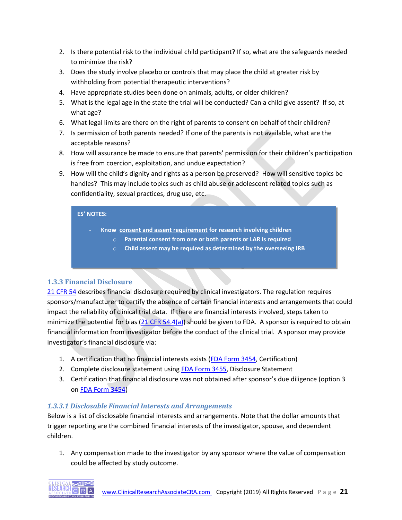- 2. Is there potential risk to the individual child participant? If so, what are the safeguards needed to minimize the risk?
- 3. Does the study involve placebo or controls that may place the child at greater risk by withholding from potential therapeutic interventions?
- 4. Have appropriate studies been done on animals, adults, or older children?
- 5. What is the legal age in the state the trial will be conducted? Can a child give assent? If so, at what age?
- 6. What legal limits are there on the right of parents to consent on behalf of their children?
- 7. Is permission of both parents needed? If one of the parents is not available, what are the acceptable reasons?
- 8. How will assurance be made to ensure that parents' permission for their children's participation is free from coercion, exploitation, and undue expectation?
- 9. How will the child's dignity and rights as a person be preserved? How will sensitive topics be handles? This may include topics such as child abuse or adolescent related topics such as confidentiality, sexual practices, drug use, etc.

#### **ES' NOTES:**

- **Know consent and assent requirement for research involving children**
	- o **Parental consent from one or both parents or LAR is required**
	- o **Child assent may be required as determined by the overseeing IRB**

# **1.3.3 Financial Disclosure**

[21 CFR 54](http://www.ecfr.gov/cgi-bin/text-idx?SID=658aa0c4d7dba87a15da970171adb230&mc=true&node=pt21.1.54&rgn=div5) describes financial disclosure required by clinical investigators. The regulation requires sponsors/manufacturer to certify the absence of certain financial interests and arrangements that could impact the reliability of clinical trial data. If there are financial interests involved, steps taken to minimize the potential for bias [\(21 CFR 54.4\(a\)\)](http://www.ecfr.gov/cgi-bin/text-idx?SID=658aa0c4d7dba87a15da970171adb230&mc=true&node=pt21.1.54&rgn=div5#se21.1.54_14) should be given to FDA. A sponsor is required to obtain financial information from investigator before the conduct of the clinical trial. A sponsor may provide investigator's financial disclosure via:

- 1. A certification that no financial interests exists [\(FDA Form 3454,](http://www.fda.gov/downloads/AboutFDA/ReportsManualsForms/Forms/UCM048304.pdf) Certification)
- 2. Complete disclosure statement using [FDA Form 3455,](http://www.fda.gov/downloads/aboutfda/reportsmanualsforms/forms/ucm048310.pdf) Disclosure Statement
- 3. Certification that financial disclosure was not obtained after sponsor's due diligence (option 3 on [FDA Form 3454\)](http://www.fda.gov/downloads/AboutFDA/ReportsManualsForms/Forms/UCM048304.pdf)

# *1.3.3.1 Disclosable Financial Interests and Arrangements*

Below is a list of disclosable financial interests and arrangements. Note that the dollar amounts that trigger reporting are the combined financial interests of the investigator, spouse, and dependent children.

1. Any compensation made to the investigator by any sponsor where the value of compensation could be affected by study outcome.